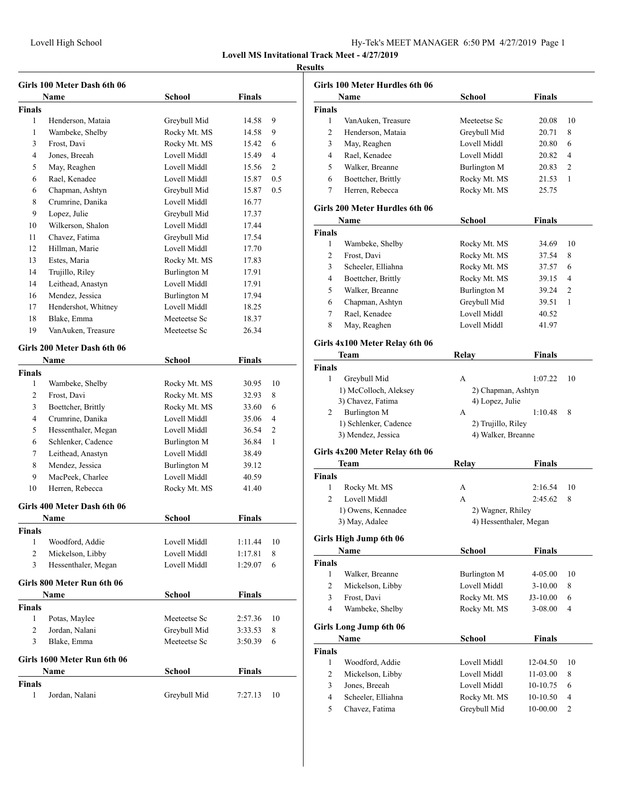#### **Results**

| Girls 100 Meter Dash 6th 06 |                             |               |               |                |
|-----------------------------|-----------------------------|---------------|---------------|----------------|
|                             | Name                        | School        | Finals        |                |
| <b>Finals</b>               |                             |               |               |                |
| 1                           | Henderson, Mataia           | Greybull Mid  | 14.58         | 9              |
| 1                           | Wambeke, Shelby             | Rocky Mt. MS  | 14.58         | 9              |
| 3                           | Frost, Davi                 | Rocky Mt. MS  | 15.42         | 6              |
| 4                           | Jones, Breeah               | Lovell Middl  | 15.49         | 4              |
| 5                           | May, Reaghen                | Lovell Middl  | 15.56         | 2              |
| 6                           | Rael, Kenadee               | Lovell Middl  | 15.87         | 0.5            |
| 6                           | Chapman, Ashtyn             | Greybull Mid  | 15.87         | 0.5            |
| 8                           | Crumrine, Danika            | Lovell Middl  | 16.77         |                |
| 9                           | Lopez, Julie                | Greybull Mid  | 17.37         |                |
| 10                          | Wilkerson, Shalon           | Lovell Middl  | 17.44         |                |
| 11                          | Chavez, Fatima              | Greybull Mid  | 17.54         |                |
| 12                          | Hillman, Marie              | Lovell Middl  | 17.70         |                |
| 13                          | Estes, Maria                | Rocky Mt. MS  | 17.83         |                |
| 14                          | Trujillo, Riley             | Burlington M  | 17.91         |                |
| 14                          | Leithead, Anastyn           | Lovell Middl  | 17.91         |                |
| 16                          | Mendez, Jessica             | Burlington M  | 17.94         |                |
| 17                          | Hendershot, Whitney         | Lovell Middl  | 18.25         |                |
| 18                          | Blake, Emma                 | Meeteetse Sc  | 18.37         |                |
| 19                          | VanAuken, Treasure          | Meeteetse Sc  | 26.34         |                |
|                             |                             |               |               |                |
|                             | Girls 200 Meter Dash 6th 06 |               |               |                |
|                             | Name                        | School        | Finals        |                |
| Finals                      |                             |               |               |                |
| 1                           | Wambeke, Shelby             | Rocky Mt. MS  | 30.95         | 10             |
| 2                           | Frost, Davi                 | Rocky Mt. MS  | 32.93         | 8              |
| 3                           | Boettcher, Brittly          | Rocky Mt. MS  | 33.60         | 6              |
| 4                           | Crumrine, Danika            | Lovell Middl  | 35.06         | $\overline{4}$ |
| 5                           | Hessenthaler, Megan         | Lovell Middl  | 36.54         | 2              |
| 6                           | Schlenker, Cadence          | Burlington M  | 36.84         | 1              |
| 7                           | Leithead, Anastyn           | Lovell Middl  | 38.49         |                |
| 8                           | Mendez, Jessica             | Burlington M  | 39.12         |                |
| 9                           | MacPeek, Charlee            | Lovell Middl  | 40.59         |                |
| 10                          | Herren, Rebecca             | Rocky Mt. MS  | 41.40         |                |
|                             | Girls 400 Meter Dash 6th 06 |               |               |                |
|                             | Name                        | School        | Finals        |                |
| Finals                      |                             |               |               |                |
| 1                           | Woodford, Addie             | Lovell Middl  | 1:11.44       | 10             |
| $\overline{c}$              | Mickelson, Libby            | Lovell Middl  | 1:17.81       | 8              |
| 3                           | Hessenthaler, Megan         | Lovell Middl  | 1:29.07       | 6              |
|                             |                             |               |               |                |
|                             | Girls 800 Meter Run 6th 06  |               |               |                |
|                             | <b>Name</b>                 | <b>School</b> | Finals        |                |
| <b>Finals</b>               |                             |               |               |                |
| $\mathbf{1}$                | Potas, Maylee               | Meeteetse Sc  | 2:57.36       | 10             |
| 2                           | Jordan, Nalani              | Greybull Mid  | 3:33.53       | 8              |
| 3                           | Blake, Emma                 | Meeteetse Sc  | 3:50.39       | 6              |
|                             | Girls 1600 Meter Run 6th 06 |               |               |                |
|                             | Name                        | School        | <b>Finals</b> |                |
| <b>Finals</b>               |                             |               |               |                |
| 1                           | Jordan, Nalani              | Greybull Mid  | 7:27.13       | 10             |
|                             |                             |               |               |                |

|                | <b>Name</b>        | School       | <b>Finals</b> |    |
|----------------|--------------------|--------------|---------------|----|
| <b>Finals</b>  |                    |              |               |    |
| 1              | VanAuken, Treasure | Meeteetse Sc | 20.08         | 10 |
| 2              | Henderson, Mataia  | Greybull Mid | 20.71         | 8  |
| 3              | May, Reaghen       | Lovell Middl | 20.80         | 6  |
| $\overline{4}$ | Rael, Kenadee      | Lovell Middl | 20.82         | 4  |
| 5              | Walker, Breanne    | Burlington M | 20.83         | 2  |
| 6              | Boettcher, Brittly | Rocky Mt. MS | 21.53         | 1  |
| 7              | Herren, Rebecca    | Rocky Mt. MS | 25.75         |    |

#### **Girls 200 Meter Hurdles 6th 06**

|               | Name               | School       | Finals |                |
|---------------|--------------------|--------------|--------|----------------|
| <b>Finals</b> |                    |              |        |                |
| 1             | Wambeke, Shelby    | Rocky Mt. MS | 34.69  | 10             |
| 2             | Frost, Davi        | Rocky Mt. MS | 37.54  | 8              |
| 3             | Scheeler, Elliahna | Rocky Mt. MS | 37.57  | 6              |
| 4             | Boettcher, Brittly | Rocky Mt. MS | 39.15  | 4              |
| 5             | Walker, Breanne    | Burlington M | 39.24  | $\overline{2}$ |
| 6             | Chapman, Ashtyn    | Greybull Mid | 39.51  | 1              |
| 7             | Rael, Kenadee      | Lovell Middl | 40.52  |                |
| 8             | May, Reaghen       | Lovell Middl | 41.97  |                |

#### **Girls 4x100 Meter Relay 6th 06**

| <b>Team</b>           | Relav              | <b>Finals</b>      |
|-----------------------|--------------------|--------------------|
| <b>Finals</b>         |                    |                    |
| Greybull Mid          | А                  | 1:07.22<br>10      |
| 1) McColloch, Aleksey |                    | 2) Chapman, Ashtyn |
| 3) Chavez, Fatima     | 4) Lopez, Julie    |                    |
| Burlington M          | А                  | 1:10.48<br>8       |
| 1) Schlenker, Cadence | 2) Trujillo, Riley |                    |
| 3) Mendez, Jessica    | 4) Walker, Breanne |                    |
|                       |                    |                    |

#### **Girls 4x200 Meter Relay 6th 06**

| Team                   | Relay             | <b>Finals</b>          |
|------------------------|-------------------|------------------------|
| <b>Finals</b>          |                   |                        |
| Rocky Mt. MS           | А                 | 2:16.54<br>-10         |
| Lovell Middl<br>2      | А                 | 2:45.62<br>-8          |
| 1) Owens, Kennadee     | 2) Wagner, Rhiley |                        |
| 3) May, Adalee         |                   | 4) Hessenthaler, Megan |
| Girls High Jump 6th 06 |                   |                        |

## **Name School Finals Finals** 1 Walker, Breanne Burlington M 4-05.00 10 2 Mickelson, Libby Lovell Middl 3-10.00 8 3 Frost, Davi Rocky Mt. MS J3-10.00 6 4 Wambeke, Shelby Rocky Mt. MS 3-08.00 4 **Girls Long Jump 6th 06 Name School Finals Finals** 1 Woodford, Addie Lovell Middl 12-04.50 10 2 Mickelson, Libby Lovell Middl 11-03.00 8 3 Jones, Breeah Lovell Middl 10-10.75 6 4 Scheeler, Elliahna Rocky Mt. MS 10-10.50 4 5 Chavez, Fatima Greybull Mid 10-00.00 2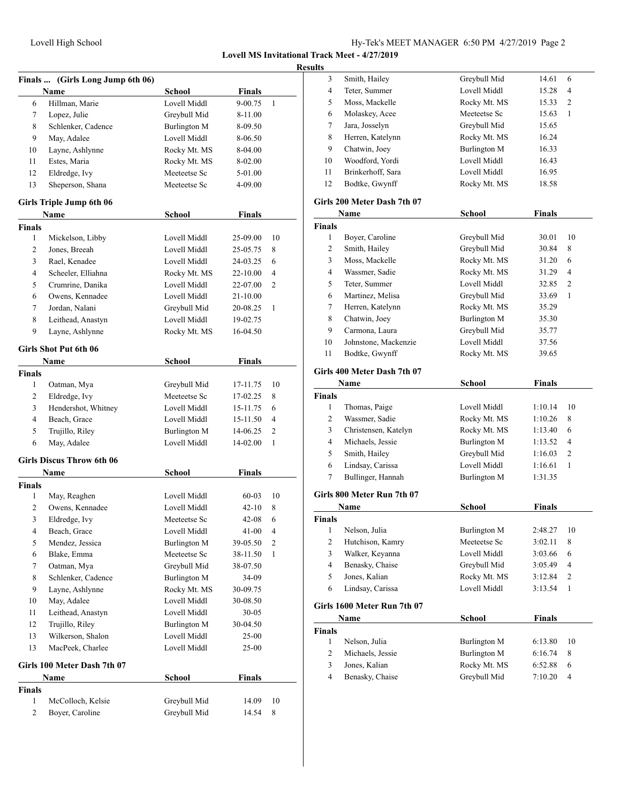|                | Finals  (Girls Long Jump 6th 06) |                     |               |    |
|----------------|----------------------------------|---------------------|---------------|----|
|                | Name                             | School              | <b>Finals</b> |    |
| 6              | Hillman, Marie                   | Lovell Middl        | 9-00.75       | 1  |
| 7              | Lopez, Julie                     | Greybull Mid        | 8-11.00       |    |
| 8              | Schlenker, Cadence               | Burlington M        | 8-09.50       |    |
| 9              | May, Adalee                      | Lovell Middl        | 8-06.50       |    |
| 10             | Layne, Ashlynne                  | Rocky Mt. MS        | 8-04.00       |    |
| 11             | Estes, Maria                     | Rocky Mt. MS        | 8-02.00       |    |
| 12             | Eldredge, Ivy                    | Meeteetse Sc        | 5-01.00       |    |
| 13             | Sheperson, Shana                 | Meeteetse Sc        | 4-09.00       |    |
|                | Girls Triple Jump 6th 06         |                     |               |    |
|                | <b>Name</b>                      | School              | Finals        |    |
| <b>Finals</b>  |                                  |                     |               |    |
| 1              | Mickelson, Libby                 | Lovell Middl        | 25-09.00      | 10 |
| 2              | Jones, Breeah                    | Lovell Middl        | 25-05.75      | 8  |
| 3              | Rael, Kenadee                    | Lovell Middl        | 24-03.25      | 6  |
| 4              | Scheeler, Elliahna               | Rocky Mt. MS        | 22-10.00      | 4  |
| 5              | Crumrine, Danika                 | Lovell Middl        | 22-07.00      | 2  |
| 6              | Owens, Kennadee                  | Lovell Middl        | 21-10.00      |    |
| 7              | Jordan, Nalani                   | Greybull Mid        | 20-08.25      | 1  |
| 8              | Leithead, Anastyn                | Lovell Middl        | 19-02.75      |    |
| 9              | Layne, Ashlynne                  | Rocky Mt. MS        | 16-04.50      |    |
|                | <b>Girls Shot Put 6th 06</b>     |                     |               |    |
|                | Name                             | <b>School</b>       | <b>Finals</b> |    |
| <b>Finals</b>  |                                  |                     |               |    |
| $\mathbf{1}$   | Oatman, Mya                      | Greybull Mid        | 17-11.75      | 10 |
| 2              | Eldredge, Ivy                    | Meeteetse Sc        | 17-02.25      | 8  |
| 3              | Hendershot, Whitney              | Lovell Middl        | 15-11.75      | 6  |
| 4              | Beach, Grace                     | Lovell Middl        | 15-11.50      | 4  |
| 5              | Trujillo, Riley                  | Burlington M        | 14-06.25      | 2  |
| 6              | May, Adalee                      | Lovell Middl        | 14-02.00      | 1  |
|                | <b>Girls Discus Throw 6th 06</b> |                     |               |    |
|                | Name                             | <b>School</b>       | <b>Finals</b> |    |
| <b>Finals</b>  |                                  |                     |               |    |
| 1              | May, Reaghen                     | Lovell Middl        | 60-03         | 10 |
| $\overline{c}$ | Owens, Kennadee                  | Lovell Middl        | 42-10         | 8  |
| 3              | Eldredge, Ivy                    | Meeteetse Sc        | 42-08         | 6  |
| 4              | Beach, Grace                     | Lovell Middl        | 41-00         | 4  |
| 5              | Mendez, Jessica                  | Burlington M        | 39-05.50      | 2  |
| 6              | Blake, Emma                      | Meeteetse Sc        | 38-11.50      | 1  |
| 7              | Oatman, Mya                      | Greybull Mid        | 38-07.50      |    |
| 8              | Schlenker, Cadence               | Burlington M        | 34-09         |    |
| 9              | Layne, Ashlynne                  | Rocky Mt. MS        | 30-09.75      |    |
| 10             | May, Adalee                      | Lovell Middl        | 30-08.50      |    |
| 11             | Leithead, Anastyn                | Lovell Middl        | $30 - 05$     |    |
| 12             | Trujillo, Riley                  | <b>Burlington M</b> | 30-04.50      |    |
| 13             | Wilkerson, Shalon                | Lovell Middl        | 25-00         |    |
| 13             | MacPeek, Charlee                 | Lovell Middl        | 25-00         |    |
|                | Girls 100 Meter Dash 7th 07      |                     |               |    |
|                | Name                             | <b>School</b>       | <b>Finals</b> |    |
| <b>Finals</b>  |                                  |                     |               |    |
| $\mathbf{1}$   | McColloch, Kelsie                | Greybull Mid        | 14.09         | 10 |
| 2              | Boyer, Caroline                  | Greybull Mid        | 14.54         | 8  |
|                |                                  |                     |               |    |

| 3                | Smith, Hailey                       | Greybull Mid        | 14.61         | 6                        |
|------------------|-------------------------------------|---------------------|---------------|--------------------------|
| 4                | Teter, Summer                       | Lovell Middl        | 15.28         | 4                        |
| 5                | Moss, Mackelle                      | Rocky Mt. MS        | 15.33         | 2                        |
| 6                | Molaskey, Acee                      | Meeteetse Sc        | 15.63         | 1                        |
| 7                | Jara, Josselyn                      | Greybull Mid        | 15.65         |                          |
| 8                | Herren, Katelynn                    | Rocky Mt. MS        | 16.24         |                          |
| 9                | Chatwin, Joey                       | Burlington M        | 16.33         |                          |
| 10               | Woodford, Yordi                     | Lovell Middl        | 16.43         |                          |
| 11               | Brinkerhoff, Sara                   | Lovell Middl        | 16.95         |                          |
| 12               | Bodtke, Gwynff                      | Rocky Mt. MS        | 18.58         |                          |
|                  | Girls 200 Meter Dash 7th 07         |                     |               |                          |
|                  | Name                                | School              | Finals        |                          |
| <b>Finals</b>    |                                     |                     |               |                          |
| 1                | Boyer, Caroline                     | Greybull Mid        | 30.01         | 10                       |
| 2                | Smith, Hailey                       | Greybull Mid        | 30.84         | 8                        |
| 3                | Moss, Mackelle                      | Rocky Mt. MS        | 31.20         | 6                        |
| 4                | Wassmer, Sadie                      | Rocky Mt. MS        | 31.29         | 4                        |
| 5                | Teter, Summer                       | Lovell Middl        | 32.85         | 2                        |
| 6                | Martinez, Melisa                    | Greybull Mid        | 33.69         | 1                        |
| 7                | Herren, Katelynn                    | Rocky Mt. MS        | 35.29         |                          |
| 8                | Chatwin, Joey                       | <b>Burlington M</b> | 35.30         |                          |
| 9                | Carmona, Laura                      | Greybull Mid        | 35.77         |                          |
| 10               | Johnstone, Mackenzie                | Lovell Middl        | 37.56         |                          |
| 11               | Bodtke, Gwynff                      | Rocky Mt. MS        | 39.65         |                          |
|                  | Girls 400 Meter Dash 7th 07         |                     |               |                          |
|                  | Name                                | <b>School</b>       | <b>Finals</b> |                          |
| <b>Finals</b>    |                                     |                     |               |                          |
| 1                | Thomas, Paige                       | Lovell Middl        | 1:10.14       | 10                       |
| 2                | Wassmer, Sadie                      | Rocky Mt. MS        | 1:10.26       | 8                        |
| 3                | Christensen, Katelyn                | Rocky Mt. MS        | 1:13.40       | 6                        |
| $\overline{4}$   | Michaels, Jessie                    | <b>Burlington M</b> | 1:13.52       | 4                        |
| 5                | Smith, Hailey                       | Greybull Mid        | 1:16.03       | 2                        |
| 6                | Lindsay, Carissa                    | Lovell Middl        | 1:16.61       | 1                        |
| 7                | Bullinger, Hannah                   | <b>Burlington M</b> | 1:31.35       |                          |
|                  | Girls 800 Meter Run 7th 07          |                     |               |                          |
|                  | <b>Name</b>                         | School              | <b>Finals</b> |                          |
| <b>Finals</b>    |                                     |                     |               |                          |
| $\,1$            | Nelson, Julia                       | <b>Burlington M</b> | 2:48.27       | 10                       |
| $\boldsymbol{2}$ | Hutchison, Kamry                    | Meeteetse Sc        | 3:02.11       | 8                        |
| 3                | Walker, Keyanna                     | Lovell Middl        | 3:03.66       | 6                        |
| $\overline{4}$   | Benasky, Chaise                     | Greybull Mid        | 3:05.49       | 4                        |
| 5                | Jones, Kalian                       | Rocky Mt. MS        | 3:12.84       | 2                        |
| 6                | Lindsay, Carissa                    | Lovell Middl        | 3:13.54       | 1                        |
|                  |                                     |                     |               |                          |
|                  | Girls 1600 Meter Run 7th 07<br>Name | <b>School</b>       | <b>Finals</b> |                          |
| <b>Finals</b>    |                                     |                     |               |                          |
| 1                | Nelson, Julia                       | Burlington M        | 6:13.80       | 10                       |
| $\overline{c}$   | Michaels, Jessie                    | <b>Burlington M</b> | 6:16.74       | 8                        |
| 3                | Jones, Kalian                       | Rocky Mt. MS        | 6:52.88       | 6                        |
| $\overline{4}$   | Benasky, Chaise                     | Greybull Mid        | 7:10.20       | $\overline{\mathcal{A}}$ |
|                  |                                     |                     |               |                          |
|                  |                                     |                     |               |                          |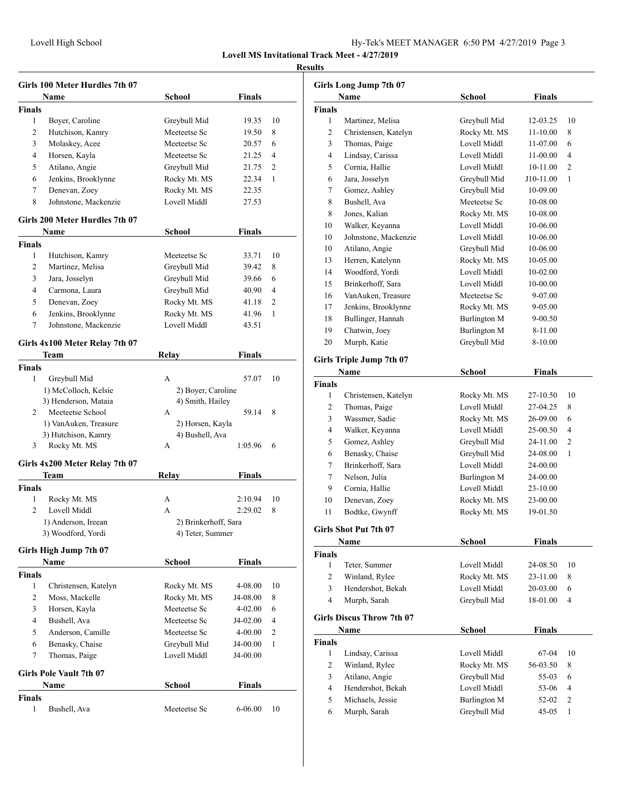| Hy-Tek's MEET MANAGER 6:50 PM 4/27/2019 Page 3 |  |  |  |
|------------------------------------------------|--|--|--|
|------------------------------------------------|--|--|--|

|                    | Girls 100 Meter Hurdles 7th 07         |                                        |               |                |
|--------------------|----------------------------------------|----------------------------------------|---------------|----------------|
|                    | Name                                   | School                                 | Finals        |                |
| <b>Finals</b>      |                                        |                                        |               |                |
| 1                  | Boyer, Caroline                        | Greybull Mid                           | 19.35         | 10             |
| 2                  | Hutchison, Kamry                       | Meeteetse Sc                           | 19.50         | 8              |
| 3                  | Molaskey, Acee                         | Meeteetse Sc                           | 20.57         | 6              |
| 4                  | Horsen, Kayla                          | Meeteetse Sc                           | 21.25         | 4              |
| 5                  | Atilano, Angie                         | Greybull Mid                           | 21.75         | $\overline{c}$ |
| 6                  | Jenkins, Brooklynne                    | Rocky Mt. MS                           | 22.34         | 1              |
| 7                  | Denevan, Zoey                          | Rocky Mt. MS                           | 22.35         |                |
| 8                  | Johnstone, Mackenzie                   | Lovell Middl                           | 27.53         |                |
|                    | Girls 200 Meter Hurdles 7th 07         |                                        |               |                |
|                    | Name                                   | School                                 | Finals        |                |
| <b>Finals</b>      |                                        |                                        |               |                |
| 1                  | Hutchison, Kamry                       | Meeteetse Sc                           | 33.71         | 10             |
| 2                  | Martinez, Melisa                       | Greybull Mid                           | 39.42         | 8              |
| 3                  | Jara, Josselyn                         | Greybull Mid                           | 39.66         | 6              |
| 4                  | Carmona, Laura                         | Greybull Mid                           | 40.90         | 4              |
| 5                  | Denevan, Zoey                          | Rocky Mt. MS                           | 41.18         | 2              |
| 6                  | Jenkins, Brooklynne                    | Rocky Mt. MS                           | 41.96         | 1              |
| 7                  | Johnstone, Mackenzie                   | Lovell Middl                           | 43.51         |                |
|                    |                                        |                                        |               |                |
|                    | Girls 4x100 Meter Relay 7th 07<br>Team | Relay                                  | Finals        |                |
|                    |                                        |                                        |               |                |
| <b>Finals</b><br>1 |                                        | A                                      | 57.07         | 10             |
|                    | Greybull Mid<br>1) McColloch, Kelsie   |                                        |               |                |
|                    | 3) Henderson, Mataia                   | 2) Boyer, Caroline<br>4) Smith, Hailey |               |                |
| 2                  | Meeteetse School                       | A                                      | 59.14         | 8              |
|                    | 1) VanAuken, Treasure                  | 2) Horsen, Kayla                       |               |                |
|                    | 3) Hutchison, Kamry                    | 4) Bushell, Ava                        |               |                |
| 3                  | Rocky Mt. MS                           | A                                      | 1:05.96       | 6              |
|                    |                                        |                                        |               |                |
|                    | Girls 4x200 Meter Relay 7th 07         |                                        |               |                |
|                    | Team                                   | Relay                                  | <b>Finals</b> |                |
| <b>Finals</b>      |                                        |                                        |               |                |
| 1                  | Rocky Mt. MS                           | A                                      | 2:10.94       | 10             |
| $\overline{c}$     | Lovell Middl                           | A                                      | 2:29.02       | 8              |
|                    | 1) Anderson, Ireean                    | 2) Brinkerhoff, Sara                   |               |                |
|                    | 3) Woodford, Yordi                     | 4) Teter, Summer                       |               |                |
|                    | Girls High Jump 7th 07                 |                                        |               |                |
|                    | Name                                   | <b>School</b>                          | <b>Finals</b> |                |
| Finals             |                                        |                                        |               |                |
| 1                  | Christensen, Katelyn                   | Rocky Mt. MS                           | 4-08.00       | 10             |
| 2                  | Moss, Mackelle                         | Rocky Mt. MS                           | J4-08.00      | 8              |
| 3                  | Horsen, Kayla                          | Meeteetse Sc                           | 4-02.00       | 6              |
| $\overline{4}$     | Bushell, Ava                           | Meeteetse Sc                           | J4-02.00      | 4              |
| 5                  | Anderson, Camille                      | Meeteetse Sc                           | 4-00.00       | 2              |
| 6                  | Benasky, Chaise                        | Greybull Mid                           | J4-00.00      | 1              |
| 7                  | Thomas, Paige                          | Lovell Middl                           | J4-00.00      |                |
|                    |                                        |                                        |               |                |
|                    | <b>Girls Pole Vault 7th 07</b>         |                                        |               |                |
|                    | Name                                   | School                                 | <b>Finals</b> |                |
| Finals<br>1        | Bushell, Ava                           | Meeteetse Sc                           | 6-06.00       | 10             |
|                    |                                        |                                        |               |                |

|        | <b>Girls Long Jump 7th 07</b>    |                     |               |                |
|--------|----------------------------------|---------------------|---------------|----------------|
|        | Name                             | <b>School</b>       | <b>Finals</b> |                |
| Finals |                                  |                     |               |                |
| 1      | Martinez, Melisa                 | Greybull Mid        | 12-03.25      | 10             |
| 2      | Christensen, Katelyn             | Rocky Mt. MS        | 11-10.00      | 8              |
| 3      | Thomas, Paige                    | Lovell Middl        | 11-07.00      | 6              |
| 4      | Lindsay, Carissa                 | Lovell Middl        | 11-00.00      | 4              |
| 5      | Cornia, Hallie                   | Lovell Middl        | 10-11.00      | 2              |
| 6      | Jara, Josselyn                   | Greybull Mid        | J10-11.00     | 1              |
| 7      | Gomez, Ashley                    | Greybull Mid        | 10-09.00      |                |
| 8      | Bushell, Ava                     | Meeteetse Sc        | 10-08.00      |                |
| 8      | Jones, Kalian                    | Rocky Mt. MS        | 10-08.00      |                |
| 10     | Walker, Keyanna                  | Lovell Middl        | 10-06.00      |                |
| 10     | Johnstone, Mackenzie             | Lovell Middl        | 10-06.00      |                |
| 10     | Atilano, Angie                   | Greybull Mid        | 10-06.00      |                |
| 13     | Herren, Katelynn                 | Rocky Mt. MS        | 10-05.00      |                |
| 14     | Woodford, Yordi                  | Lovell Middl        | 10-02.00      |                |
| 15     | Brinkerhoff, Sara                | Lovell Middl        | 10-00.00      |                |
| 16     | VanAuken, Treasure               | Meeteetse Sc        | 9-07.00       |                |
| 17     | Jenkins, Brooklynne              | Rocky Mt. MS        | 9-05.00       |                |
| 18     | Bullinger, Hannah                | <b>Burlington M</b> | 9-00.50       |                |
| 19     | Chatwin, Joey                    | <b>Burlington M</b> | 8-11.00       |                |
| 20     | Murph, Katie                     | Greybull Mid        | 8-10.00       |                |
|        | Girls Triple Jump 7th 07         |                     |               |                |
|        | Name                             | <b>School</b>       | <b>Finals</b> |                |
| Finals |                                  |                     |               |                |
| 1      | Christensen, Katelyn             | Rocky Mt. MS        | 27-10.50      | 10             |
| 2      | Thomas, Paige                    | Lovell Middl        | 27-04.25      | 8              |
| 3      | Wassmer, Sadie                   | Rocky Mt. MS        | 26-09.00      | 6              |
| 4      | Walker, Keyanna                  | Lovell Middl        | 25-00.50      | 4              |
| 5      | Gomez, Ashley                    | Greybull Mid        | 24-11.00      | $\overline{c}$ |
| 6      | Benasky, Chaise                  | Greybull Mid        | 24-08.00      | 1              |
| 7      | Brinkerhoff, Sara                | Lovell Middl        | 24-00.00      |                |
| 7      | Nelson, Julia                    | <b>Burlington M</b> | 24-00.00      |                |
| 9      | Cornia, Hallie                   | Lovell Middl        | 23-10.00      |                |
| 10     | Denevan, Zoey                    | Rocky Mt. MS        | 23-00.00      |                |
| 11     | Bodtke, Gwynff                   | Rocky Mt. MS        | 19-01.50      |                |
|        |                                  |                     |               |                |
|        | Girls Shot Put 7th 07            |                     |               |                |
|        | Name                             | <b>School</b>       | <b>Finals</b> |                |
| Finals |                                  |                     |               |                |
| 1      | Teter, Summer                    | Lovell Middl        | 24-08.50      | 10             |
| 2      | Winland, Rylee                   | Rocky Mt. MS        | 23-11.00      | 8              |
| 3      | Hendershot, Bekah                | Lovell Middl        | 20-03.00      | 6              |
| 4      | Murph, Sarah                     | Greybull Mid        | 18-01.00      | 4              |
|        | <b>Girls Discus Throw 7th 07</b> |                     |               |                |
|        | Name                             | <b>School</b>       | <b>Finals</b> |                |
| Finals |                                  |                     |               |                |
| 1      | Lindsay, Carissa                 | Lovell Middl        | 67-04         | 10             |
| 2      | Winland, Rylee                   | Rocky Mt. MS        | 56-03.50      | 8              |
| 3      | Atilano, Angie                   | Greybull Mid        | 55-03         | 6              |
| 4      | Hendershot, Bekah                | Lovell Middl        | 53-06         | 4              |
| 5      | Michaels, Jessie                 | Burlington M        | 52-02         | 2              |
| 6      | Murph, Sarah                     | Greybull Mid        | 45-05         | 1              |
|        |                                  |                     |               |                |
|        |                                  |                     |               |                |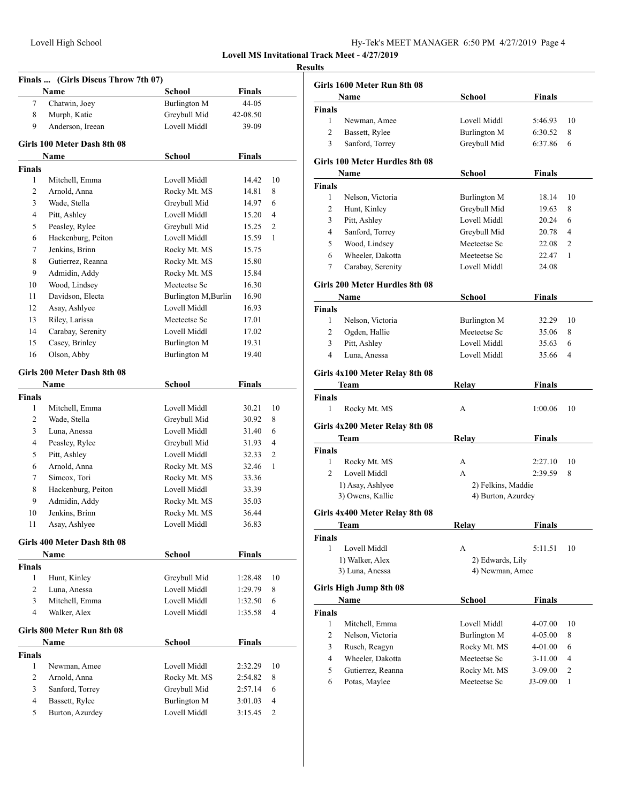**Girls 100 Meter Dash 8th 08**

**Finals**

| Hy-Tek's MEET MANAGER 6:50 PM 4/27/2019 Page 4 |  |  |  |
|------------------------------------------------|--|--|--|
|------------------------------------------------|--|--|--|

**Lovell MS Invitational Track Meet - 4/27/2019**

# **Finals ... (Girls Discus Throw 7th 07) Name School Finals** 7 Chatwin, Joey Burlington M 44-05 8 Murph, Katie Greybull Mid 42-08.50 9 Anderson, Ireean Lovell Middl 39-09 **Name School Finals** 1 Mitchell Emma Lovell Middl 14.42 10

| $\mathbf{I}$ | ічніснен, еншіта   | LOVCII IVIIUUI      | 14.44 | 1 V |
|--------------|--------------------|---------------------|-------|-----|
| 2            | Arnold, Anna       | Rocky Mt. MS        | 14.81 | 8   |
| 3            | Wade, Stella       | Greybull Mid        | 14.97 | 6   |
| 4            | Pitt, Ashley       | Lovell Middl        | 15.20 | 4   |
| 5            | Peasley, Rylee     | Greybull Mid        | 15.25 | 2   |
| 6            | Hackenburg, Peiton | Lovell Middl        | 15.59 | 1   |
| 7            | Jenkins, Brinn     | Rocky Mt. MS        | 15.75 |     |
| 8            | Gutierrez, Reanna  | Rocky Mt. MS        | 15.80 |     |
| 9            | Admidin, Addy      | Rocky Mt. MS        | 15.84 |     |
| 10           | Wood, Lindsey      | Meeteetse Sc        | 16.30 |     |
| 11           | Davidson, Electa   | Burlington M.Burlin | 16.90 |     |
| 12           | Asay, Ashlyee      | Lovell Middl        | 16.93 |     |
| 13           | Riley, Larissa     | Meeteetse Sc        | 17.01 |     |
| 14           | Carabay, Serenity  | Lovell Middl        | 17.02 |     |
| 15           | Casey, Brinley     | Burlington M        | 19.31 |     |
| 16           | Olson, Abby        | Burlington M        | 19.40 |     |

#### **Girls 200 Meter Dash 8th 08**

|        | Name               | School       | Finals |                |
|--------|--------------------|--------------|--------|----------------|
| Finals |                    |              |        |                |
| 1      | Mitchell, Emma     | Lovell Middl | 30.21  | 10             |
| 2      | Wade, Stella       | Greybull Mid | 30.92  | 8              |
| 3      | Luna, Anessa       | Lovell Middl | 31.40  | 6              |
| 4      | Peasley, Rylee     | Greybull Mid | 31.93  | $\overline{4}$ |
| 5      | Pitt, Ashley       | Lovell Middl | 32.33  | $\overline{2}$ |
| 6      | Arnold, Anna       | Rocky Mt. MS | 32.46  | 1              |
| 7      | Simcox, Tori       | Rocky Mt. MS | 33.36  |                |
| 8      | Hackenburg, Peiton | Lovell Middl | 33.39  |                |
| 9      | Admidin, Addy      | Rocky Mt. MS | 35.03  |                |
| 10     | Jenkins, Brinn     | Rocky Mt. MS | 36.44  |                |
| 11     | Asay, Ashlyee      | Lovell Middl | 36.83  |                |

#### **Girls 400 Meter Dash 8th 08**

|               | <b>Name</b>                | School       | <b>Finals</b> |                |
|---------------|----------------------------|--------------|---------------|----------------|
| <b>Finals</b> |                            |              |               |                |
| 1             | Hunt, Kinley               | Greybull Mid | 1:28.48       | 10             |
| 2             | Luna, Anessa               | Lovell Middl | 1:29.79       | 8              |
| 3             | Mitchell, Emma             | Lovell Middl | 1:32.50       | 6              |
| 4             | Walker, Alex               | Lovell Middl | 1:35.58       | $\overline{4}$ |
|               | Girls 800 Meter Run 8th 08 |              |               |                |
|               | Name                       | School       | <b>Finals</b> |                |
| <b>Finals</b> |                            |              |               |                |
| 1             | Newman, Amee               | Lovell Middl | 2:32.29       | 10             |
| 2             | Arnold, Anna               | Rocky Mt. MS | 2:54.82       | 8              |
| 3             | Sanford, Torrey            | Greybull Mid | 2:57.14       | 6              |
| 4             | Bassett, Rylee             | Burlington M | 3:01.03       | $\overline{4}$ |
| 5             | Burton, Azurdey            | Lovell Middl | 3:15.45       | $\mathfrak{D}$ |

| <b>Results</b> |                                |                     |               |                |
|----------------|--------------------------------|---------------------|---------------|----------------|
|                | Girls 1600 Meter Run 8th 08    |                     |               |                |
|                | Name                           | School              | Finals        |                |
| Finals         |                                |                     |               |                |
| $\mathbf{1}$   | Newman, Amee                   | Lovell Middl        | 5:46.93       | 10             |
| $\overline{2}$ | Bassett, Rylee                 | Burlington M        | 6:30.52       | 8              |
| 3              | Sanford, Torrey                | Greybull Mid        | 6:37.86       | 6              |
|                | Girls 100 Meter Hurdles 8th 08 |                     |               |                |
|                | Name                           | School              | <b>Finals</b> |                |
| <b>Finals</b>  |                                |                     |               |                |
| 1              | Nelson, Victoria               | <b>Burlington M</b> | 18.14         | 10             |
| 2              | Hunt, Kinley                   | Greybull Mid        | 19.63         | 8              |
| 3              | Pitt, Ashley                   | Lovell Middl        | 20.24         | 6              |
| $\overline{4}$ | Sanford, Torrey                | Greybull Mid        | 20.78         | $\overline{4}$ |
| 5              | Wood, Lindsey                  | Meeteetse Sc        | 22.08         | 2              |
| 6              | Wheeler, Dakotta               | Meeteetse Sc        | 22.47         | 1              |
| 7              | Carabay, Serenity              | Lovell Middl        | 24.08         |                |
|                | Girls 200 Meter Hurdles 8th 08 |                     |               |                |
|                | Name                           | <b>School</b>       | <b>Finals</b> |                |
| <b>Finals</b>  |                                |                     |               |                |
| 1              | Nelson, Victoria               | Burlington M        | 32.29         | 10             |
| $\overline{2}$ | Ogden, Hallie                  | Meeteetse Sc        | 35.06         | 8              |
| 3              | Pitt, Ashley                   | Lovell Middl        | 35.63         | 6              |
| 4              | Luna, Anessa                   | Lovell Middl        | 35.66         | 4              |
|                | Girls 4x100 Meter Relay 8th 08 |                     |               |                |
|                | Team                           | Relay               | Finals        |                |
| Finals         |                                |                     |               |                |
| 1              | Rocky Mt. MS                   | А                   | 1:00.06       | 10             |
|                | Girls 4x200 Meter Relay 8th 08 |                     |               |                |
|                | Team                           | Relay               | <b>Finals</b> |                |
| Finals         |                                |                     |               |                |
| 1              | Rocky Mt. MS                   | А                   | 2:27.10       | 10             |
| $\overline{2}$ | Lovell Middl                   | $\mathsf{A}$        | 2:39.59       | 8              |
|                | 1) Asay, Ashlyee               | 2) Felkins, Maddie  |               |                |
|                | 3) Owens, Kallie               | 4) Burton, Azurdey  |               |                |
|                | Girls 4x400 Meter Relay 8th 08 |                     |               |                |
|                | <b>Team</b>                    | <b>Relay</b>        | Finals        |                |
| Finals         |                                |                     |               |                |
| 1              | Lovell Middl                   | А                   | 5:11.51       | 10             |
|                | 1) Walker, Alex                | 2) Edwards, Lily    |               |                |
|                | 3) Luna, Anessa                | 4) Newman, Amee     |               |                |
|                |                                |                     |               |                |
|                | Girls High Jump 8th 08<br>Name | <b>School</b>       | <b>Finals</b> |                |
| <b>Finals</b>  |                                |                     |               |                |
| 1              | Mitchell, Emma                 | Lovell Middl        | 4-07.00       | 10             |
| 2              | Nelson, Victoria               | <b>Burlington M</b> | 4-05.00       | 8              |
| 3              | Rusch, Reagyn                  | Rocky Mt. MS        | 4-01.00       | 6              |
| $\overline{4}$ | Wheeler, Dakotta               | Meeteetse Sc        | $3-11.00$     | 4              |
| 5              | Gutierrez, Reanna              | Rocky Mt. MS        | $3-09.00$     | 2              |
| 6              | Potas, Maylee                  | Meeteetse Sc        | J3-09.00      | $\mathbf{1}$   |
|                |                                |                     |               |                |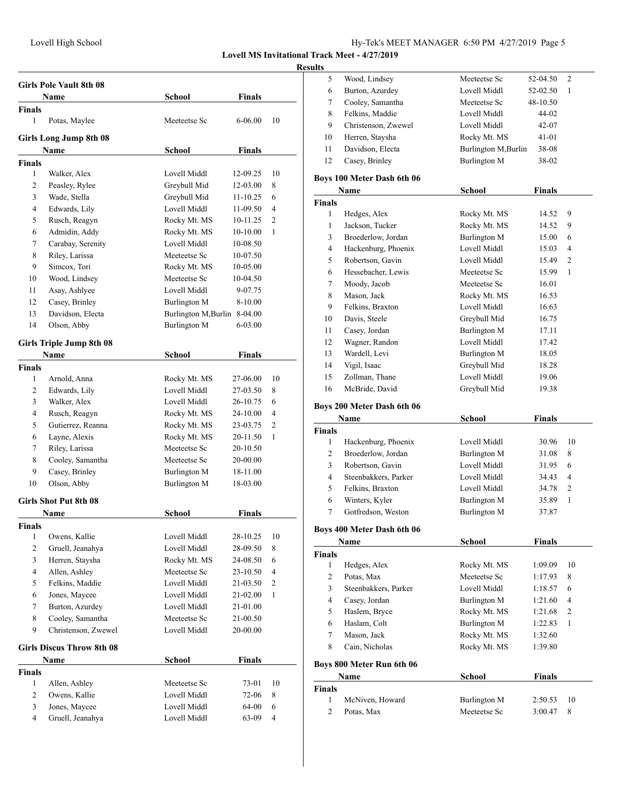# Lovell High School Hy-Tek's MEET MANAGER 6:50 PM 4/27/2019 Page 5

## **Lovell MS Invitational Track Meet - 4/27/2019**

|                | <b>Girls Pole Vault 8th 08</b>   |                              |               |                |
|----------------|----------------------------------|------------------------------|---------------|----------------|
|                | <b>Name</b>                      | <b>School</b>                | <b>Finals</b> |                |
| <b>Finals</b>  |                                  | Meeteetse Sc                 |               |                |
| 1              | Potas, Maylee                    |                              | 6-06.00       | 10             |
|                | <b>Girls Long Jump 8th 08</b>    |                              |               |                |
|                | Name                             | School                       | Finals        |                |
| Finals         |                                  |                              |               |                |
| 1              | Walker, Alex                     | Lovell Middl                 | 12-09.25      | 10             |
| 2              | Peasley, Rylee                   | Greybull Mid                 | 12-03.00      | 8              |
| 3              | Wade, Stella                     | Greybull Mid                 | 11-10.25      | 6              |
| 4              | Edwards, Lily                    | Lovell Middl                 | 11-09.50      | 4              |
| 5              | Rusch, Reagyn                    | Rocky Mt. MS                 | 10-11.25      | 2              |
| 6              | Admidin, Addy                    | Rocky Mt. MS                 | 10-10.00      | 1              |
| 7              | Carabay, Serenity                | Lovell Middl                 | 10-08.50      |                |
| 8              | Riley, Larissa                   | Meeteetse Sc                 | 10-07.50      |                |
| 9              | Simcox, Tori                     | Rocky Mt. MS                 | 10-05.00      |                |
| 10             | Wood, Lindsey                    | Meeteetse Sc                 | 10-04.50      |                |
| 11             | Asay, Ashlyee                    | Lovell Middl                 | 9-07.75       |                |
| 12             | Casey, Brinley                   | Burlington M                 | 8-10.00       |                |
| 13             | Davidson, Electa                 | Burlington M, Burlin 8-04.00 |               |                |
| 14             | Olson, Abby                      | Burlington M                 | 6-03.00       |                |
|                | <b>Girls Triple Jump 8th 08</b>  |                              |               |                |
|                | <b>Name</b>                      | School                       | Finals        |                |
| <b>Finals</b>  |                                  |                              |               |                |
| 1              | Arnold, Anna                     | Rocky Mt. MS                 | 27-06.00      | 10             |
| 2              | Edwards, Lily                    | Lovell Middl                 | 27-03.50      | 8              |
| 3              | Walker, Alex                     | Lovell Middl                 | 26-10.75      | 6              |
| 4              | Rusch, Reagyn                    | Rocky Mt. MS                 | 24-10.00      | 4              |
| 5              | Gutierrez, Reanna                | Rocky Mt. MS                 | 23-03.75      | $\overline{c}$ |
| 6              | Layne, Alexis                    | Rocky Mt. MS                 | 20-11.50      | 1              |
| 7              | Riley, Larissa                   | Meeteetse Sc                 | 20-10.50      |                |
| 8              | Cooley, Samantha                 | Meeteetse Sc                 | 20-00.00      |                |
| 9              | Casey, Brinley                   | Burlington M                 | 18-11.00      |                |
| 10             | Olson, Abby                      | <b>Burlington M</b>          | 18-03.00      |                |
|                |                                  |                              |               |                |
|                | <b>Girls Shot Put 8th 08</b>     |                              |               |                |
|                | Name                             | School                       | Finals        |                |
| Finals         |                                  |                              |               |                |
| 1              | Owens, Kallie                    | Lovell Middl                 | 28-10.25      | 10             |
| $\overline{2}$ | Gruell, Jeanahya                 | Lovell Middl                 | 28-09.50      | 8              |
| 3              | Herren, Staysha                  | Rocky Mt. MS                 | 24-08.50      | 6              |
| $\overline{4}$ | Allen, Ashley                    | Meeteetse Sc                 | 23-10.50      | $\overline{4}$ |
| 5              | Felkins, Maddie                  | Lovell Middl                 | 21-03.50      | 2              |
| 6              | Jones, Maycee                    | Lovell Middl                 | 21-02.00      | $\mathbf{1}$   |
| 7              | Burton, Azurdey                  | Lovell Middl                 | 21-01.00      |                |
| 8              | Cooley, Samantha                 | Meeteetse Sc                 | 21-00.50      |                |
| 9              | Christenson, Zwewel              | Lovell Middl                 | $20 - 00.00$  |                |
|                | <b>Girls Discus Throw 8th 08</b> |                              |               |                |
|                | Name                             | <b>School</b>                | Finals        |                |
| <b>Finals</b>  |                                  |                              |               |                |
| 1              | Allen, Ashley                    | Meeteetse Sc                 | 73-01         | 10             |
| 2              | Owens, Kallie                    | Lovell Middl                 | 72-06         | 8              |
| 3              | Jones, Maycee                    | Lovell Middl                 | 64-00         | 6              |
| $\overline{4}$ | Gruell, Jeanahya                 | Lovell Middl                 | 63-09         | 4              |
|                |                                  |                              |               |                |

| ults          |                                           |                              |               |    |
|---------------|-------------------------------------------|------------------------------|---------------|----|
| 5             | Wood, Lindsey                             | Meeteetse Sc                 | 52-04.50      | 2  |
| 6             | Burton, Azurdey                           | Lovell Middl                 | 52-02.50      | 1  |
| 7             | Cooley, Samantha                          | Meeteetse Sc                 | 48-10.50      |    |
| 8             | Felkins, Maddie                           | Lovell Middl                 | 44-02         |    |
| 9             | Christenson, Zwewel                       | Lovell Middl                 | 42-07         |    |
| 10            | Herren, Staysha                           | Rocky Mt. MS                 | 41-01         |    |
| 11            | Davidson, Electa                          | Burlington M, Burlin         | 38-08         |    |
| 12            | Casey, Brinley                            | <b>Burlington M</b>          | 38-02         |    |
|               | Boys 100 Meter Dash 6th 06                |                              |               |    |
|               | Name                                      | <b>School</b>                | <b>Finals</b> |    |
| <b>Finals</b> |                                           |                              |               |    |
| 1             | Hedges, Alex                              | Rocky Mt. MS                 | 14.52         | 9  |
| 1             | Jackson, Tucker                           | Rocky Mt. MS                 | 14.52         | 9  |
| 3             | Broederlow, Jordan                        | <b>Burlington M</b>          | 15.00         | 6  |
| 4             | Hackenburg, Phoenix                       | Lovell Middl                 | 15.03         | 4  |
| 5             | Robertson, Gavin                          | Lovell Middl                 | 15.49         | 2  |
| 6             | Hessebacher, Lewis                        | Meeteetse Sc                 | 15.99         | 1  |
| 7             | Moody, Jacob                              | Meeteetse Sc                 | 16.01         |    |
| 8             | Mason, Jack                               | Rocky Mt. MS                 | 16.53         |    |
| 9             | Felkins, Braxton                          | Lovell Middl                 | 16.63         |    |
| 10            | Davis, Steele                             | Greybull Mid                 | 16.75         |    |
| 11            | Casey, Jordan                             | <b>Burlington M</b>          | 17.11         |    |
| 12            | Wagner, Randon                            | Lovell Middl                 | 17.42         |    |
| 13            | Wardell, Levi                             | Burlington M                 | 18.05         |    |
| 14            | Vigil, Isaac                              | Greybull Mid                 | 18.28         |    |
| 15            | Zollman, Thane                            | Lovell Middl                 | 19.06         |    |
| 16            | McBride, David                            | Greybull Mid                 | 19.38         |    |
|               |                                           |                              |               |    |
|               | Boys 200 Meter Dash 6th 06<br>Name        | <b>School</b>                | <b>Finals</b> |    |
|               |                                           |                              |               |    |
| Finals<br>1   |                                           | Lovell Middl                 |               | 10 |
|               | Hackenburg, Phoenix<br>Broederlow, Jordan |                              | 30.96         |    |
| 2             |                                           | Burlington M                 | 31.08         | 8  |
| 3             | Robertson, Gavin                          | Lovell Middl                 | 31.95         | 6  |
| 4             | Steenbakkers, Parker                      | Lovell Middl<br>Lovell Middl | 34.43         | 4  |
| 5             | Felkins, Braxton                          |                              | 34.78         | 2  |
| 6<br>7        | Winters, Kyler<br>Gotfredson, Weston      | Burlington M<br>Burlington M | 35.89         | 1  |
|               |                                           |                              | 37.87         |    |
|               | Boys 400 Meter Dash 6th 06                |                              |               |    |
|               | Name                                      | <b>School</b>                | <b>Finals</b> |    |
| Finals        |                                           |                              |               |    |
| 1             | Hedges, Alex                              | Rocky Mt. MS                 | 1:09.09       | 10 |
| 2             | Potas, Max                                | Meeteetse Sc                 | 1:17.93       | 8  |
| 3             | Steenbakkers, Parker                      | Lovell Middl                 | 1:18.57       | 6  |
| 4             | Casey, Jordan                             | Burlington M                 | 1:21.60       | 4  |
| 5             | Haslem, Bryce                             | Rocky Mt. MS                 | 1:21.68       | 2  |
| 6             | Haslam, Colt                              | <b>Burlington M</b>          | 1:22.83       | 1  |
| 7             | Mason, Jack                               | Rocky Mt. MS                 | 1:32.60       |    |
| 8             | Cain, Nicholas                            | Rocky Mt. MS                 | 1:39.80       |    |
|               | Boys 800 Meter Run 6th 06                 |                              |               |    |
|               | <b>Name</b>                               | School                       | Finals        |    |
|               |                                           |                              |               |    |

| <b>Name</b>   |                 | School       | Finals        |  |
|---------------|-----------------|--------------|---------------|--|
| <b>Finals</b> |                 |              |               |  |
|               | McNiven, Howard | Burlington M | 2:50.53<br>10 |  |
|               | Potas, Max      | Meeteetse Sc | 3:00.47<br>8  |  |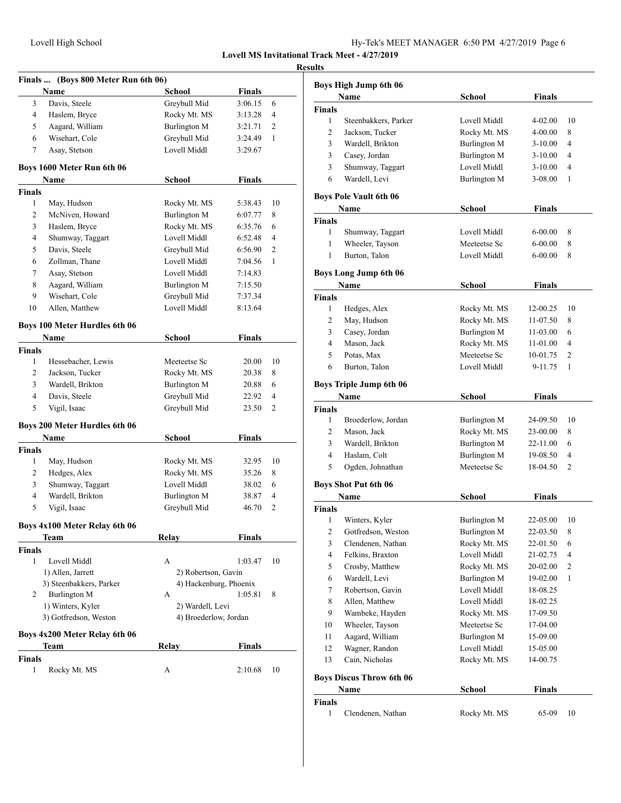|                | Finals  (Boys 800 Meter Run 6th 06)  |                        |               |                |
|----------------|--------------------------------------|------------------------|---------------|----------------|
|                | <b>Name</b>                          | School                 | <b>Finals</b> |                |
| 3              | Davis, Steele                        | Greybull Mid           | 3:06.15       | 6              |
| 4              | Haslem, Bryce                        | Rocky Mt. MS           | 3:13.28       | 4              |
| 5              | Aagard, William                      | Burlington M           | 3:21.71       | $\overline{c}$ |
| 6              | Wisehart, Cole                       | Greybull Mid           | 3:24.49       | 1              |
| 7              | Asay, Stetson                        | Lovell Middl           | 3:29.67       |                |
|                | Boys 1600 Meter Run 6th 06           |                        |               |                |
|                | Name                                 | School                 | <b>Finals</b> |                |
| <b>Finals</b>  |                                      |                        |               |                |
| 1              | May, Hudson                          | Rocky Mt. MS           | 5:38.43       | 10             |
| 2              | McNiven, Howard                      | Burlington M           | 6:07.77       | 8              |
| 3              | Haslem, Bryce                        | Rocky Mt. MS           | 6:35.76       | 6              |
| 4              | Shumway, Taggart                     | Lovell Middl           | 6:52.48       | 4              |
| 5              | Davis, Steele                        | Greybull Mid           | 6:56.90       | 2              |
| 6              | Zollman, Thane                       | Lovell Middl           | 7:04.56       | 1              |
| 7              | Asay, Stetson                        | Lovell Middl           | 7:14.83       |                |
| 8              | Aagard, William                      | Burlington M           | 7:15.50       |                |
| 9              | Wisehart, Cole                       | Greybull Mid           | 7:37.34       |                |
| 10             | Allen, Matthew                       | Lovell Middl           | 8:13.64       |                |
|                | Boys 100 Meter Hurdles 6th 06        |                        |               |                |
|                | Name                                 | School                 | <b>Finals</b> |                |
| <b>Finals</b>  |                                      |                        |               |                |
| 1              | Hessebacher, Lewis                   | Meeteetse Sc           | 20.00         | 10             |
| 2              | Jackson, Tucker                      | Rocky Mt. MS           | 20.38         | 8              |
| 3              | Wardell, Brikton                     | Burlington M           | 20.88         | 6              |
| $\overline{4}$ | Davis, Steele                        | Greybull Mid           | 22.92         | 4              |
| 5              | Vigil, Isaac                         | Greybull Mid           | 23.50         | 2              |
|                | <b>Boys 200 Meter Hurdles 6th 06</b> |                        |               |                |
|                | Name                                 | School                 | Finals        |                |
| <b>Finals</b>  |                                      |                        |               |                |
| 1              | May, Hudson                          | Rocky Mt. MS           | 32.95         | 10             |
| 2              | Hedges, Alex                         | Rocky Mt. MS           | 35.26         | 8              |
| 3              | Shumway, Taggart                     | Lovell Middl           | 38.02         | 6              |
| 4              | Wardell, Brikton                     | <b>Burlington M</b>    | 38.87         | 4              |
| 5              | Vigil, Isaac                         | Greybull Mid           | 46.70         | 2              |
|                | Boys 4x100 Meter Relay 6th 06        |                        |               |                |
|                | Team                                 | Relay                  | <b>Finals</b> |                |
| Finals         |                                      |                        |               |                |
| 1              | Lovell Middl                         | А                      | 1:03.47       | 10             |
|                | 1) Allen, Jarrett                    | 2) Robertson, Gavin    |               |                |
|                | 3) Steenbakkers, Parker              | 4) Hackenburg, Phoenix |               |                |
| 2              | Burlington M                         | А                      | 1:05.81       | 8              |
|                | 1) Winters, Kyler                    | 2) Wardell, Levi       |               |                |
|                | 3) Gotfredson, Weston                | 4) Broederlow, Jordan  |               |                |
|                | Boys 4x200 Meter Relay 6th 06        |                        |               |                |
|                | Team                                 | Relav                  | <b>Finals</b> |                |
| <b>Finals</b>  |                                      |                        |               |                |
| 1              | Rocky Mt. MS                         | А                      | 2:10.68       | 10             |
|                |                                      |                        |               |                |

|               | <b>Boys High Jump 6th 06</b>    |                     |               |                |
|---------------|---------------------------------|---------------------|---------------|----------------|
|               | Name                            | School              | Finals        |                |
| Finals        |                                 |                     |               |                |
| 1             | Steenbakkers, Parker            | Lovell Middl        | 4-02.00       | 10             |
| 2             | Jackson, Tucker                 | Rocky Mt. MS        | 4-00.00       | 8              |
| 3             | Wardell, Brikton                | <b>Burlington M</b> | $3-10.00$     | 4              |
| 3             | Casey, Jordan                   | Burlington M        | 3-10.00       | 4              |
| 3             | Shumway, Taggart                | Lovell Middl        | 3-10.00       | 4              |
| 6             | Wardell, Levi                   | Burlington M        | 3-08.00       | 1              |
|               | <b>Boys Pole Vault 6th 06</b>   |                     |               |                |
|               | Name                            | School              | Finals        |                |
| Finals        |                                 |                     |               |                |
| 1             | Shumway, Taggart                | Lovell Middl        | 6-00.00       | 8              |
| 1             | Wheeler, Tayson                 | Meeteetse Sc        | 6-00.00       | 8              |
| 1             | Burton, Talon                   | Lovell Middl        | 6-00.00       | 8              |
|               | <b>Boys Long Jump 6th 06</b>    |                     |               |                |
|               | Name                            | <b>School</b>       | <b>Finals</b> |                |
| <b>Finals</b> |                                 |                     |               |                |
| 1             | Hedges, Alex                    | Rocky Mt. MS        | 12-00.25      | 10             |
| 2             | May, Hudson                     | Rocky Mt. MS        | 11-07.50      | 8              |
| 3             | Casey, Jordan                   | Burlington M        | 11-03.00      | 6              |
| 4             | Mason, Jack                     | Rocky Mt. MS        | 11-01.00      | 4              |
| 5             | Potas, Max                      | Meeteetse Sc        | 10-01.75      | $\overline{c}$ |
| 6             | Burton, Talon                   | Lovell Middl        | 9-11.75       | 1              |
|               | Boys Triple Jump 6th 06         |                     |               |                |
| <b>Finals</b> | Name                            | School              | Finals        |                |
| 1             | Broederlow, Jordan              | Burlington M        | 24-09.50      | 10             |
| 2             | Mason, Jack                     | Rocky Mt. MS        | 23-00.00      | 8              |
| 3             | Wardell, Brikton                | <b>Burlington M</b> | 22-11.00      | 6              |
| 4             | Haslam, Colt                    | Burlington M        | 19-08.50      | 4              |
| 5             | Ogden, Johnathan                | Meeteetse Sc        | 18-04.50      | 2              |
|               |                                 |                     |               |                |
|               | <b>Boys Shot Put 6th 06</b>     |                     |               |                |
| <b>Finals</b> | Name                            | School              | Finals        |                |
| 1             | Winters, Kyler                  | Burlington M        | 22-05.00      | 10             |
| 2             | Gotfredson, Weston              | Burlington M        | 22-03.50      | 8              |
| 3             | Clendenen, Nathan               | Rocky Mt. MS        | 22-01.50      | 6              |
| 4             | Felkins, Braxton                | Lovell Middl        | 21-02.75      | 4              |
|               | Crosby, Matthew                 | Rocky Mt. MS        | 20-02.00      | 2              |
|               | Wardell, Levi                   |                     | 19-02.00      | 1              |
| 5             |                                 |                     |               |                |
| 6             |                                 | Burlington M        |               |                |
| 7             | Robertson, Gavin                | Lovell Middl        | 18-08.25      |                |
| 8             | Allen, Matthew                  | Lovell Middl        | 18-02.25      |                |
| 9             | Wambeke, Hayden                 | Rocky Mt. MS        | 17-09.50      |                |
| 10            | Wheeler, Tayson                 | Meeteetse Sc        | 17-04.00      |                |
| 11            | Aagard, William                 | <b>Burlington M</b> | 15-09.00      |                |
| 12            | Wagner, Randon                  | Lovell Middl        | 15-05.00      |                |
| 13            | Cain, Nicholas                  | Rocky Mt. MS        | 14-00.75      |                |
|               | <b>Boys Discus Throw 6th 06</b> |                     |               |                |
|               | Name                            | <b>School</b>       | <b>Finals</b> |                |
| Finals<br>1   | Clendenen, Nathan               | Rocky Mt. MS        | 65-09         | 10             |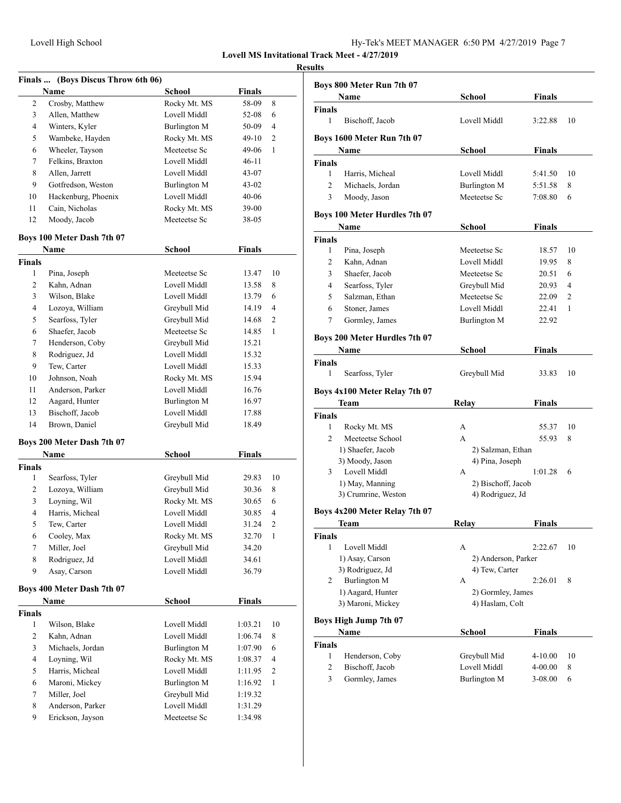| Hy-Tek's MEET MANAGER 6:50 PM 4/27/2019 Page 7 |  |  |  |
|------------------------------------------------|--|--|--|
|------------------------------------------------|--|--|--|

|               | Finals  (Boys Discus Throw 6th 06) |                     |               |                |
|---------------|------------------------------------|---------------------|---------------|----------------|
|               | Name                               | <b>School</b>       | Finals        |                |
| 2             | Crosby, Matthew                    | Rocky Mt. MS        | 58-09         | 8              |
| 3             | Allen, Matthew                     | Lovell Middl        | 52-08         | 6              |
| 4             | Winters, Kyler                     | Burlington M        | 50-09         | 4              |
| 5             | Wambeke, Hayden                    | Rocky Mt. MS        | 49-10         | $\overline{c}$ |
| 6             | Wheeler, Tayson                    | Meeteetse Sc        | 49-06         | 1              |
| 7             | Felkins, Braxton                   | Lovell Middl        | 46-11         |                |
| 8             | Allen, Jarrett                     | Lovell Middl        | $43 - 07$     |                |
| 9             | Gotfredson, Weston                 | <b>Burlington M</b> | 43-02         |                |
| 10            | Hackenburg, Phoenix                | Lovell Middl        | $40 - 06$     |                |
| 11            | Cain, Nicholas                     | Rocky Mt. MS        | 39-00         |                |
| 12            | Moody, Jacob                       | Meeteetse Sc        | 38-05         |                |
|               | Boys 100 Meter Dash 7th 07         |                     |               |                |
|               | Name                               | School              | Finals        |                |
| <b>Finals</b> |                                    |                     |               |                |
| 1             | Pina, Joseph                       | Meeteetse Sc        | 13.47         | 10             |
| 2             | Kahn, Adnan                        | Lovell Middl        | 13.58         | 8              |
| 3             | Wilson, Blake                      | Lovell Middl        | 13.79         | 6              |
| 4             | Lozoya, William                    | Greybull Mid        | 14.19         | 4              |
| 5             | Searfoss, Tyler                    | Greybull Mid        | 14.68         | 2              |
| 6             | Shaefer, Jacob                     | Meeteetse Sc        | 14.85         | 1              |
| 7             | Henderson, Coby                    | Greybull Mid        | 15.21         |                |
| 8             | Rodriguez, Jd                      | Lovell Middl        | 15.32         |                |
| 9             | Tew, Carter                        | Lovell Middl        | 15.33         |                |
| 10            | Johnson, Noah                      | Rocky Mt. MS        | 15.94         |                |
| 11            | Anderson, Parker                   | Lovell Middl        | 16.76         |                |
| 12            | Aagard, Hunter                     | Burlington M        | 16.97         |                |
| 13            | Bischoff, Jacob                    | Lovell Middl        | 17.88         |                |
| 14            | Brown, Daniel                      | Greybull Mid        | 18.49         |                |
|               | Boys 200 Meter Dash 7th 07         |                     |               |                |
|               | Name                               | School              | <b>Finals</b> |                |
| <b>Finals</b> |                                    |                     |               |                |
| 1             | Searfoss, Tyler                    | Greybull Mid        | 29.83         | 10             |
| 2             | Lozoya, William                    | Greybull Mid        | 30.36         | 8              |
| 3             | Loyning, Wil                       | Rocky Mt. MS        | 30.65         | 6              |
| 4             | Harris, Micheal                    | Lovell Middl        | 30.85         | 4              |
| 5             | Tew, Carter                        | Lovell Middl        | 31.24         | 2              |
| 6             | Cooley, Max                        | Rocky Mt. MS        | 32.70         | 1              |
| 7             | Miller, Joel                       | Greybull Mid        | 34.20         |                |
| 8             | Rodriguez, Jd                      | Lovell Middl        | 34.61         |                |
| 9             | Asay, Carson                       | Lovell Middl        | 36.79         |                |
|               | Boys 400 Meter Dash 7th 07         |                     |               |                |
|               | Name                               | School              | <b>Finals</b> |                |
| Finals        |                                    |                     |               |                |
| 1             | Wilson, Blake                      | Lovell Middl        | 1:03.21       | 10             |
| 2             | Kahn, Adnan                        | Lovell Middl        | 1:06.74       | 8              |
| 3             | Michaels, Jordan                   | Burlington M        | 1:07.90       | 6              |
| 4             | Loyning, Wil                       | Rocky Mt. MS        | 1:08.37       | 4              |
| 5             | Harris, Micheal                    | Lovell Middl        | 1:11.95       | 2              |
| 6             | Maroni, Mickey                     | <b>Burlington M</b> | 1:16.92       | 1              |
| 7             | Miller, Joel                       | Greybull Mid        | 1:19.32       |                |
| 8             | Anderson, Parker                   | Lovell Middl        | 1:31.29       |                |
| 9             | Erickson, Jayson                   | Meeteetse Sc        | 1:34.98       |                |
|               |                                    |                     |               |                |

|                | Boys 800 Meter Run 7th 07            |                     |               |    |
|----------------|--------------------------------------|---------------------|---------------|----|
|                | Name                                 | School              | <b>Finals</b> |    |
| <b>Finals</b>  |                                      |                     |               |    |
| 1              | Bischoff, Jacob                      | Lovell Middl        | 3:22.88       | 10 |
|                | Boys 1600 Meter Run 7th 07           |                     |               |    |
|                | Name                                 | School              | <b>Finals</b> |    |
| <b>Finals</b>  |                                      |                     |               |    |
| 1              | Harris, Micheal                      | Lovell Middl        | 5:41.50       | 10 |
| $\overline{2}$ | Michaels, Jordan                     | <b>Burlington M</b> | 5:51.58       | 8  |
| 3              | Moody, Jason                         | Meeteetse Sc        | 7:08.80       | 6  |
|                | <b>Boys 100 Meter Hurdles 7th 07</b> |                     |               |    |
|                | Name                                 | School              | <b>Finals</b> |    |
| <b>Finals</b>  |                                      |                     |               |    |
| 1              | Pina, Joseph                         | Meeteetse Sc        | 18.57         | 10 |
| $\overline{c}$ | Kahn, Adnan                          | Lovell Middl        | 19.95         | 8  |
| 3              | Shaefer, Jacob                       | Meeteetse Sc        | 20.51         | 6  |
| 4              | Searfoss, Tyler                      | Greybull Mid        | 20.93         | 4  |
| 5              | Salzman, Ethan                       | Meeteetse Sc        | 22.09         | 2  |
| 6              | Stoner, James                        | Lovell Middl        | 22.41         | 1  |
| 7              | Gormley, James                       | <b>Burlington M</b> | 22.92         |    |
|                | Boys 200 Meter Hurdles 7th 07        |                     |               |    |
|                | Name                                 | School              | <b>Finals</b> |    |
| <b>Finals</b>  |                                      |                     |               |    |
| 1              | Searfoss, Tyler                      | Greybull Mid        | 33.83         | 10 |
|                |                                      |                     |               |    |
|                | Boys 4x100 Meter Relay 7th 07        |                     |               |    |
|                | Team                                 | Relay               | <b>Finals</b> |    |
|                |                                      |                     |               |    |
| <b>Finals</b>  |                                      |                     |               |    |
| 1              | Rocky Mt. MS                         | А                   | 55.37         | 10 |
| 2              | Meeteetse School                     | A                   | 55.93         | 8  |
|                | 1) Shaefer, Jacob                    | 2) Salzman, Ethan   |               |    |
|                | 3) Moody, Jason                      | 4) Pina, Joseph     |               |    |
| 3              | Lovell Middl                         | A                   | 1:01.28       | 6  |
|                | 1) May, Manning                      | 2) Bischoff, Jacob  |               |    |
|                | 3) Crumrine, Weston                  | 4) Rodriguez, Jd    |               |    |
|                | Boys 4x200 Meter Relay 7th 07        |                     |               |    |
|                | Team                                 | Relav               | Finals        |    |
| <b>Finals</b>  |                                      |                     |               |    |
| 1              | Lovell Middl                         | А                   | 2:22.67       | 10 |
|                | 1) Asay, Carson                      | 2) Anderson, Parker |               |    |
|                | 3) Rodriguez, Jd                     | 4) Tew, Carter      |               |    |
| 2              | <b>Burlington M</b>                  | А                   | 2:26.01       | 8  |
|                | 1) Aagard, Hunter                    | 2) Gormley, James   |               |    |
|                | 3) Maroni, Mickey                    | 4) Haslam, Colt     |               |    |
|                | <b>Boys High Jump 7th 07</b>         |                     |               |    |
|                | Name                                 | <b>School</b>       | <b>Finals</b> |    |
| <b>Finals</b>  |                                      |                     |               |    |
| $\mathbf{1}$   | Henderson, Coby                      | Greybull Mid        | $4 - 10.00$   | 10 |
| $\overline{c}$ | Bischoff, Jacob                      | Lovell Middl        | 4-00.00       | 8  |
| 3              | Gormley, James                       | <b>Burlington M</b> | 3-08.00       | 6  |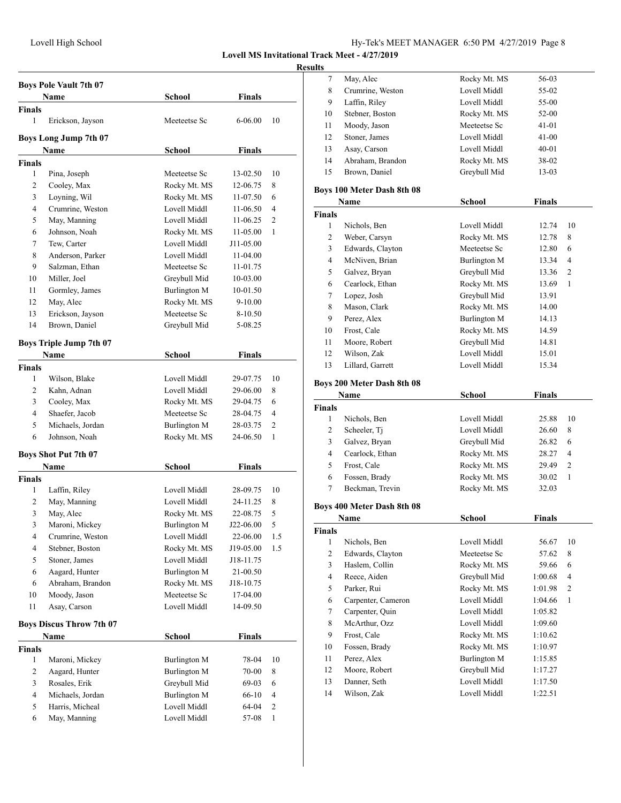# Lovell High School Hy-Tek's MEET MANAGER 6:50 PM 4/27/2019 Page 8

## **Lovell MS Invitational Track Meet - 4/27/2019**

|                    | <b>Boys Pole Vault 7th 07</b><br>Name      | School                              | <b>Finals</b>        |        |
|--------------------|--------------------------------------------|-------------------------------------|----------------------|--------|
| <b>Finals</b>      |                                            |                                     |                      |        |
| 1                  | Erickson, Jayson                           | Meeteetse Sc                        | 6-06.00              | 10     |
|                    | <b>Boys Long Jump 7th 07</b>               |                                     |                      |        |
|                    | Name                                       | School                              | Finals               |        |
| <b>Finals</b>      |                                            |                                     |                      |        |
| 1                  | Pina, Joseph                               | Meeteetse Sc                        | 13-02.50             | 10     |
| 2                  | Cooley, Max                                | Rocky Mt. MS                        | 12-06.75             | 8      |
| 3                  | Loyning, Wil                               | Rocky Mt. MS                        | 11-07.50             | 6      |
| 4                  | Crumrine, Weston                           | Lovell Middl                        | 11-06.50             | 4      |
| 5                  | May, Manning                               | Lovell Middl                        | 11-06.25             | 2      |
| 6                  | Johnson, Noah                              | Rocky Mt. MS                        | 11-05.00             | 1      |
| 7                  | Tew, Carter                                | Lovell Middl                        | J11-05.00            |        |
| 8                  | Anderson, Parker                           | Lovell Middl                        | 11-04.00             |        |
| 9                  | Salzman, Ethan                             | Meeteetse Sc                        | 11-01.75             |        |
| 10                 | Miller, Joel                               | Greybull Mid                        | 10-03.00             |        |
| 11                 | Gormley, James                             | <b>Burlington M</b>                 | 10-01.50             |        |
| 12                 | May, Alec                                  | Rocky Mt. MS                        | $9-10.00$            |        |
| 13                 | Erickson, Jayson                           | Meeteetse Sc                        | 8-10.50              |        |
| 14                 | Brown, Daniel                              | Greybull Mid                        | 5-08.25              |        |
|                    | <b>Boys Triple Jump 7th 07</b>             |                                     |                      |        |
|                    | <b>Name</b>                                | School                              | <b>Finals</b>        |        |
| <b>Finals</b><br>1 |                                            | Lovell Middl                        | 29-07.75             | 10     |
| 2                  | Wilson, Blake<br>Kahn, Adnan               | Lovell Middl                        |                      | 8      |
|                    |                                            |                                     | 29-06.00             | 6      |
| 3                  | Cooley, Max                                | Rocky Mt. MS                        | 29-04.75             | 4      |
| 4                  | Shaefer, Jacob                             | Meeteetse Sc                        | 28-04.75             |        |
| 5<br>6             | Michaels, Jordan                           | Burlington M                        | 28-03.75<br>24-06.50 | 2<br>1 |
|                    | Johnson, Noah                              | Rocky Mt. MS                        |                      |        |
|                    | <b>Boys Shot Put 7th 07</b><br><b>Name</b> | School                              | <b>Finals</b>        |        |
| <b>Finals</b>      |                                            |                                     |                      |        |
| 1                  | Laffin, Riley                              | Lovell Middl                        | 28-09.75             | 10     |
| 2                  | May, Manning                               | Lovell Middl                        | 24-11.25             | 8      |
| 3                  | May, Alec                                  | Rocky Mt. MS                        | 22-08.75             | 5      |
| 3                  | Maroni, Mickey                             | Burlington M                        | J22-06.00            | 5      |
| 4                  | Crumrine, Weston                           | Lovell Middl                        | 22-06.00             | 1.5    |
| 4                  | Stebner, Boston                            | Rocky Mt. MS                        | J19-05.00            | 1.5    |
| 5                  | Stoner, James                              | Lovell Middl                        | J18-11.75            |        |
| 6                  | Aagard, Hunter                             | Burlington M                        | 21-00.50             |        |
| 6                  | Abraham, Brandon                           | Rocky Mt. MS                        | J18-10.75            |        |
| 10                 | Moody, Jason                               | Meeteetse Sc                        | 17-04.00             |        |
| 11                 | Asay, Carson                               | Lovell Middl                        | 14-09.50             |        |
|                    |                                            |                                     |                      |        |
|                    | <b>Boys Discus Throw 7th 07</b><br>Name    | <b>School</b>                       | <b>Finals</b>        |        |
|                    |                                            |                                     |                      |        |
|                    |                                            |                                     |                      | 10     |
| $\mathbf{1}$       | Maroni, Mickey                             | Burlington M                        | 78-04                |        |
| $\overline{c}$     | Aagard, Hunter                             | Burlington M                        | 70-00                | 8      |
| 3                  | Rosales, Erik                              | Greybull Mid                        | 69-03                | 6      |
| 4                  | Michaels, Jordan                           |                                     | 66-10                | 4      |
| <b>Finals</b><br>5 | Harris, Micheal                            | <b>Burlington M</b><br>Lovell Middl | 64-04                | 2      |

| 7              | May, Alec                  | Rocky Mt. MS        | 56-03   |    |
|----------------|----------------------------|---------------------|---------|----|
| 8              | Crumrine, Weston           | Lovell Middl        | 55-02   |    |
| 9              | Laffin, Riley              | Lovell Middl        | 55-00   |    |
| 10             | Stebner, Boston            | Rocky Mt. MS        | 52-00   |    |
| 11             | Moody, Jason               | Meeteetse Sc        | 41-01   |    |
| 12             | Stoner, James              | Lovell Middl        | 41-00   |    |
| 13             | Asay, Carson               | Lovell Middl        | 40-01   |    |
| 14             | Abraham, Brandon           | Rocky Mt. MS        | 38-02   |    |
| 15             | Brown, Daniel              | Greybull Mid        | 13-03   |    |
|                |                            |                     |         |    |
|                | Boys 100 Meter Dash 8th 08 |                     |         |    |
|                | Name                       | School              | Finals  |    |
| <b>Finals</b>  |                            |                     |         |    |
| 1              | Nichols, Ben               | Lovell Middl        | 12.74   | 10 |
| $\overline{c}$ | Weber, Carsyn              | Rocky Mt. MS        | 12.78   | 8  |
| 3              | Edwards, Clayton           | Meeteetse Sc        | 12.80   | 6  |
| 4              | McNiven, Brian             | Burlington M        | 13.34   | 4  |
| 5              | Galvez, Bryan              | Greybull Mid        | 13.36   | 2  |
| 6              | Cearlock, Ethan            | Rocky Mt. MS        | 13.69   | 1  |
| 7              | Lopez, Josh                | Greybull Mid        | 13.91   |    |
| 8              | Mason, Clark               | Rocky Mt. MS        | 14.00   |    |
| 9              | Perez, Alex                | <b>Burlington M</b> | 14.13   |    |
| 10             | Frost, Cale                | Rocky Mt. MS        | 14.59   |    |
| 11             | Moore, Robert              | Greybull Mid        | 14.81   |    |
| 12             | Wilson, Zak                | Lovell Middl        | 15.01   |    |
| 13             | Lillard, Garrett           | Lovell Middl        | 15.34   |    |
|                | Boys 200 Meter Dash 8th 08 |                     |         |    |
|                | Name                       |                     |         |    |
|                |                            |                     |         |    |
|                |                            | School              | Finals  |    |
| <b>Finals</b>  |                            |                     |         |    |
| 1              | Nichols, Ben               | Lovell Middl        | 25.88   | 10 |
| 2              | Scheeler, Tj               | Lovell Middl        | 26.60   | 8  |
| 3              | Galvez, Bryan              | Greybull Mid        | 26.82   | 6  |
| 4              | Cearlock, Ethan            | Rocky Mt. MS        | 28.27   | 4  |
| 5              | Frost, Cale                | Rocky Mt. MS        | 29.49   | 2  |
| 6              | Fossen, Brady              | Rocky Mt. MS        | 30.02   | 1  |
| 7              | Beckman, Trevin            | Rocky Mt. MS        | 32.03   |    |
|                | Boys 400 Meter Dash 8th 08 |                     |         |    |
|                | Name                       | School              | Finals  |    |
| <b>Finals</b>  |                            |                     |         |    |
| 1              | Nichols, Ben               | Lovell Middl        | 56.67   | 10 |
| $\mathbf{2}$   | Edwards, Clayton           | Meeteetse Sc        | 57.62   | 8  |
| 3              | Haslem, Collin             | Rocky Mt. MS        | 59.66   | 6  |
| $\overline{4}$ | Reece, Aiden               | Greybull Mid        | 1:00.68 | 4  |
| 5              | Parker, Rui                | Rocky Mt. MS        | 1:01.98 | 2  |
| 6              | Carpenter, Cameron         | Lovell Middl        | 1:04.66 | 1  |
| 7              | Carpenter, Quin            | Lovell Middl        | 1:05.82 |    |
| 8              | McArthur, Ozz              | Lovell Middl        | 1:09.60 |    |
| 9              | Frost, Cale                | Rocky Mt. MS        | 1:10.62 |    |
| 10             | Fossen, Brady              | Rocky Mt. MS        | 1:10.97 |    |
| 11             | Perez, Alex                | Burlington M        | 1:15.85 |    |
| 12             | Moore, Robert              | Greybull Mid        | 1:17.27 |    |
| 13             | Danner, Seth               | Lovell Middl        | 1:17.50 |    |
| 14             | Wilson, Zak                | Lovell Middl        | 1:22.51 |    |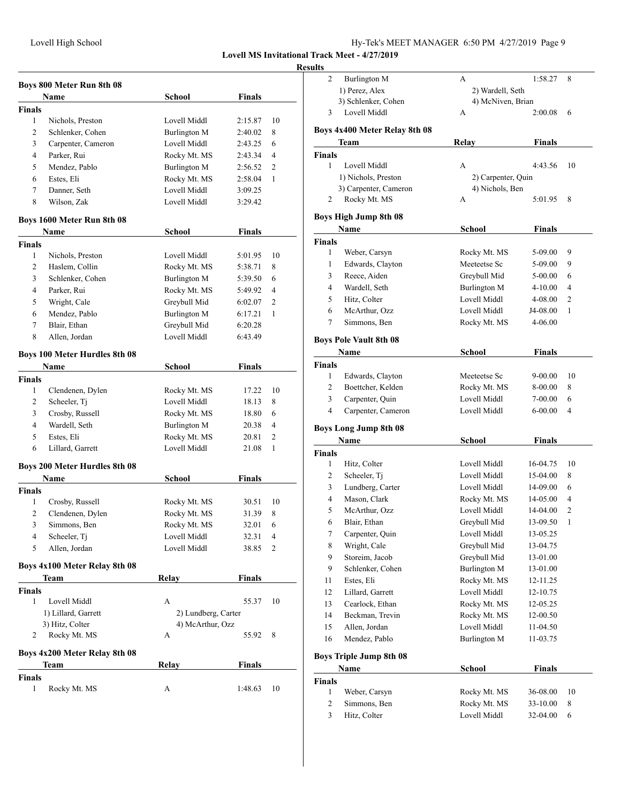## **Resul**

| Boys 800 Meter Run 8th 08 |                                      |                     |               |    |
|---------------------------|--------------------------------------|---------------------|---------------|----|
|                           | Name                                 | School              | <b>Finals</b> |    |
| <b>Finals</b>             |                                      |                     |               |    |
| 1                         | Nichols, Preston                     | Lovell Middl        | 2:15.87       | 10 |
| $\overline{c}$            | Schlenker, Cohen                     | Burlington M        | 2:40.02       | 8  |
| 3                         | Carpenter, Cameron                   | Lovell Middl        | 2:43.25       | 6  |
| 4                         | Parker, Rui                          | Rocky Mt. MS        | 2:43.34       | 4  |
| 5                         | Mendez, Pablo                        | <b>Burlington M</b> | 2:56.52       | 2  |
| 6                         | Estes, Eli                           | Rocky Mt. MS        | 2:58.04       | 1  |
| 7                         | Danner, Seth                         | Lovell Middl        | 3:09.25       |    |
| 8                         | Wilson, Zak                          | Lovell Middl        | 3:29.42       |    |
|                           | Boys 1600 Meter Run 8th 08           |                     |               |    |
|                           | Name                                 | School              | <b>Finals</b> |    |
| <b>Finals</b>             |                                      |                     |               |    |
| 1                         | Nichols, Preston                     | Lovell Middl        | 5:01.95       | 10 |
| 2                         | Haslem, Collin                       | Rocky Mt. MS        | 5:38.71       | 8  |
| 3                         | Schlenker, Cohen                     | Burlington M        | 5:39.50       | 6  |
| 4                         | Parker, Rui                          | Rocky Mt. MS        | 5:49.92       | 4  |
| 5                         | Wright, Cale                         | Greybull Mid        | 6:02.07       | 2  |
| 6                         | Mendez, Pablo                        | <b>Burlington M</b> | 6:17.21       | 1  |
| 7                         | Blair, Ethan                         | Greybull Mid        | 6:20.28       |    |
| 8                         | Allen, Jordan                        | Lovell Middl        | 6:43.49       |    |
|                           | <b>Boys 100 Meter Hurdles 8th 08</b> |                     |               |    |
|                           | Name                                 | School              | <b>Finals</b> |    |
| <b>Finals</b>             |                                      |                     |               |    |
| 1                         | Clendenen, Dylen                     | Rocky Mt. MS        | 17.22         | 10 |
| 2                         | Scheeler, Tj                         | Lovell Middl        | 18.13         | 8  |
| 3                         | Crosby, Russell                      | Rocky Mt. MS        | 18.80         | 6  |
| 4                         | Wardell, Seth                        | <b>Burlington M</b> | 20.38         | 4  |
| 5                         | Estes, Eli                           | Rocky Mt. MS        | 20.81         | 2  |
| 6                         | Lillard, Garrett                     | Lovell Middl        | 21.08         | 1  |
|                           | Boys 200 Meter Hurdles 8th 08        |                     |               |    |
|                           | Name                                 | <b>School</b>       | <b>Finals</b> |    |
| <b>Finals</b>             |                                      |                     |               |    |
| 1                         | Crosby, Russell                      | Rocky Mt. MS        | 30.51         | 10 |
| 2                         | Clendenen, Dylen                     | Rocky Mt. MS        | 31.39         | 8  |
| 3                         | Simmons, Ben                         | Rocky Mt. MS        | 32.01         | 6  |
| 4                         | Scheeler, Tj                         | Lovell Middl        | 32.31         | 4  |
| 5                         | Allen, Jordan                        | Lovell Middl        | 38.85         | 2  |
|                           | Boys 4x100 Meter Relay 8th 08        |                     |               |    |
|                           | Team                                 | Relay               | <b>Finals</b> |    |
| <b>Finals</b>             |                                      |                     |               |    |
| 1                         | Lovell Middl                         | А                   | 55.37         | 10 |
|                           | 1) Lillard, Garrett                  | 2) Lundberg, Carter |               |    |
|                           | 3) Hitz, Colter                      | 4) McArthur, Ozz    |               |    |
| 2                         | Rocky Mt. MS                         | А                   | 55.92         | 8  |
|                           | Boys 4x200 Meter Relay 8th 08        |                     |               |    |
|                           | Team                                 | Relay               | Finals        |    |
| Finals                    |                                      |                     |               |    |
| 1                         | Rocky Mt. MS                         | А                   | 1:48.63       | 10 |
|                           |                                      |                     |               |    |

| sults          |                                      |                              |                      |        |
|----------------|--------------------------------------|------------------------------|----------------------|--------|
| 2              | <b>Burlington M</b>                  | A                            | 1:58.27              | 8      |
|                | 1) Perez, Alex                       | 2) Wardell, Seth             |                      |        |
|                | 3) Schlenker, Cohen                  | 4) McNiven, Brian            |                      |        |
| 3              | Lovell Middl                         | А                            | 2:00.08              | 6      |
|                | Boys 4x400 Meter Relay 8th 08        |                              |                      |        |
|                | Team                                 | <b>Relay</b>                 | <b>Finals</b>        |        |
| <b>Finals</b>  |                                      |                              |                      |        |
| 1              | Lovell Middl                         | A                            | 4:43.56              | 10     |
|                | 1) Nichols, Preston                  | 2) Carpenter, Quin           |                      |        |
|                | 3) Carpenter, Cameron                | 4) Nichols, Ben              |                      |        |
| 2              | Rocky Mt. MS                         | A                            | 5:01.95              | 8      |
|                | <b>Boys High Jump 8th 08</b>         |                              |                      |        |
|                | Name                                 | School                       | <b>Finals</b>        |        |
| <b>Finals</b>  |                                      |                              |                      |        |
| 1              | Weber, Carsyn                        | Rocky Mt. MS                 | 5-09.00              | 9      |
| $\mathbf{1}$   | Edwards, Clayton                     | Meeteetse Sc                 | 5-09.00              | 9      |
| 3              | Reece, Aiden                         | Greybull Mid                 | 5-00.00              | 6      |
| 4              | Wardell, Seth                        | <b>Burlington M</b>          | 4-10.00              | 4      |
| 5              | Hitz, Colter                         | Lovell Middl                 | 4-08.00              | 2      |
| 6              | McArthur, Ozz                        | Lovell Middl                 | J4-08.00             | 1      |
| 7              | Simmons, Ben                         | Rocky Mt. MS                 | 4-06.00              |        |
|                | <b>Boys Pole Vault 8th 08</b>        |                              |                      |        |
|                | Name                                 | School                       | <b>Finals</b>        |        |
| <b>Finals</b>  |                                      |                              |                      |        |
| 1              | Edwards, Clayton                     | Meeteetse Sc                 | 9-00.00              | 10     |
| 2              | Boettcher, Kelden                    | Rocky Mt. MS                 | 8-00.00              | 8      |
| 3              | Carpenter, Quin                      | Lovell Middl                 | 7-00.00              | 6      |
| $\overline{4}$ | Carpenter, Cameron                   | Lovell Middl                 | 6-00.00              | 4      |
|                |                                      |                              |                      |        |
|                | <b>Boys Long Jump 8th 08</b><br>Name | School                       | <b>Finals</b>        |        |
| <b>Finals</b>  |                                      |                              |                      |        |
| 1              | Hitz, Colter                         | Lovell Middl                 | 16-04.75             | 10     |
| 2              | Scheeler, Tj                         | Lovell Middl                 | 15-04.00             | 8      |
|                |                                      |                              | 14-09.00             | 6      |
|                |                                      |                              |                      |        |
| 3              | Lundberg, Carter                     | Lovell Middl                 |                      |        |
| 4              | Mason, Clark                         | Rocky Mt. MS                 | 14-05.00             | 4      |
| 5              | McArthur, Ozz                        | Lovell Middl                 | 14-04.00             | 2      |
| 6              | Blair, Ethan                         | Greybull Mid                 | 13-09.50             | 1      |
| 7              | Carpenter, Quin                      | Lovell Middl                 | 13-05.25             |        |
| 8              | Wright, Cale                         | Greybull Mid                 | 13-04.75             |        |
| 9              | Storeim, Jacob                       | Greybull Mid                 | 13-01.00             |        |
| 9              | Schlenker, Cohen                     | <b>Burlington M</b>          | 13-01.00             |        |
| 11             | Estes, Eli                           | Rocky Mt. MS                 | 12-11.25             |        |
| 12             | Lillard, Garrett                     | Lovell Middl                 | 12-10.75             |        |
| 13             | Cearlock, Ethan                      | Rocky Mt. MS                 | 12-05.25             |        |
| 14             | Beckman, Trevin                      | Rocky Mt. MS                 | 12-00.50             |        |
| 15             | Allen, Jordan                        | Lovell Middl                 | 11-04.50             |        |
| 16             | Mendez, Pablo                        | <b>Burlington M</b>          | 11-03.75             |        |
|                | <b>Boys Triple Jump 8th 08</b>       |                              |                      |        |
|                | Name                                 | School                       | <b>Finals</b>        |        |
|                |                                      |                              |                      |        |
| Finals<br>1    | Weber, Carsyn                        | Rocky Mt. MS                 | 36-08.00             | 10     |
| 2<br>3         | Simmons, Ben<br>Hitz, Colter         | Rocky Mt. MS<br>Lovell Middl | 33-10.00<br>32-04.00 | 8<br>6 |